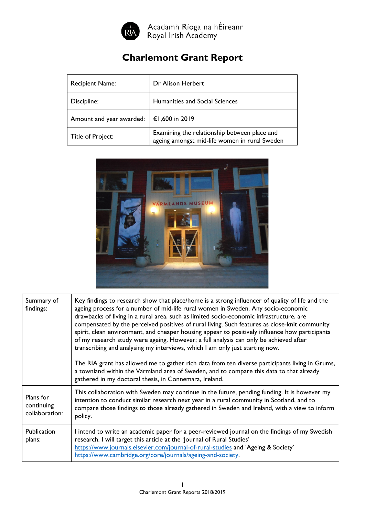

Acadamh Ríoga na hÉireann<br>Royal Irish Academy

## **Charlemont Grant Report**

| <b>Recipient Name:</b>   | Dr Alison Herbert                                                                             |
|--------------------------|-----------------------------------------------------------------------------------------------|
| Discipline:              | Humanities and Social Sciences                                                                |
| Amount and year awarded: | €1,600 in 2019                                                                                |
| Title of Project:        | Examining the relationship between place and<br>ageing amongst mid-life women in rural Sweden |



| Summary of<br>findings:                   | Key findings to research show that place/home is a strong influencer of quality of life and the<br>ageing process for a number of mid-life rural women in Sweden. Any socio-economic<br>drawbacks of living in a rural area, such as limited socio-economic infrastructure, are<br>compensated by the perceived positives of rural living. Such features as close-knit community<br>spirit, clean environment, and cheaper housing appear to positively influence how participants<br>of my research study were ageing. However; a full analysis can only be achieved after<br>transcribing and analysing my interviews, which I am only just starting now.<br>The RIA grant has allowed me to gather rich data from ten diverse participants living in Grums,<br>a townland within the Värmland area of Sweden, and to compare this data to that already<br>gathered in my doctoral thesis, in Connemara, Ireland. |
|-------------------------------------------|---------------------------------------------------------------------------------------------------------------------------------------------------------------------------------------------------------------------------------------------------------------------------------------------------------------------------------------------------------------------------------------------------------------------------------------------------------------------------------------------------------------------------------------------------------------------------------------------------------------------------------------------------------------------------------------------------------------------------------------------------------------------------------------------------------------------------------------------------------------------------------------------------------------------|
| Plans for<br>continuing<br>collaboration: | This collaboration with Sweden may continue in the future, pending funding. It is however my<br>intention to conduct similar research next year in a rural community in Scotland, and to<br>compare those findings to those already gathered in Sweden and Ireland, with a view to inform<br>policy.                                                                                                                                                                                                                                                                                                                                                                                                                                                                                                                                                                                                                |
| <b>Publication</b><br>plans:              | I intend to write an academic paper for a peer-reviewed journal on the findings of my Swedish<br>research. I will target this article at the 'Journal of Rural Studies'<br>https://www.journals.elsevier.com/journal-of-rural-studies and 'Ageing & Society'<br>https://www.cambridge.org/core/journals/ageing-and-society.                                                                                                                                                                                                                                                                                                                                                                                                                                                                                                                                                                                         |